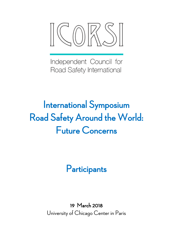

Independent Council for Road Safety International

# International Symposium Road Safety Around the World: Future Concerns

**Participants** 

19 March 2018 University of Chicago Center in Paris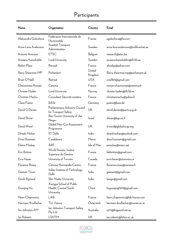## Participants

| Name                  | Organization                                                    | Country           | Email                               |
|-----------------------|-----------------------------------------------------------------|-------------------|-------------------------------------|
| Aleksandra Golovliova | Fédération Internationale de<br>l'Automobile                    | France            | agolovliova@fia.com                 |
| Anna-Lena Andersson   | Swedish Transport<br>Administration                             | Sweden            | anna-lena.andersson@trafikverket.se |
| Antonio Avenoso       | <b>ETSC</b>                                                     | Belgium           | research@etsc.be                    |
| Azreena Kamaluddin    | Lund University                                                 | Sweden            | azreena.kamaluddin@tft.lth.se       |
| Bailon-Plaza          | Renault                                                         | France            | aliciabp@yahoo.com                  |
| Barry Sheerman MP     | Parliament                                                      | United<br>Kingdom | Barry.sheerman.mp@parliament.uk     |
| Brian O'Neill         | Retired                                                         | <b>USA</b>        | oneill65@gmail.com                  |
| Chaumontet Romain     | Cerema                                                          | France            | romain.chaumontet@cerema.fr         |
| Christer Hydén        | Lund University                                                 | Norway            | christer.hyden@tft.lth.se           |
| Christian Machu       | Consultant Sécurité routière                                    | France            | christianmachu@yahoo.fr             |
| Claus Pastor          | <b>BASt</b>                                                     | Germany           | pastor@bast.de                      |
| David G Davies        | Parliamentary Advisory Council<br>for Transport Safety          | UK                | david.davies@pacts.org.uk           |
| David Shinar          | Ben Gurion University of the<br>Negev                           | <b>Israel</b>     | shinar@bgu.ac.il                    |
| David Ward            | Global New Car Assessment<br>Programme                          | UK                | d.ward@globalncap.org               |
| Dinesh Mohan          | <b>IIT</b> Delhi                                                | India             | dineshmohan@outlook.com             |
| Driss Houmam          | Casablanca                                                      | Maroc             | driss.houmam@gmail.com              |
| Elaine Mackay         | <b>ARF</b>                                                      | Isle of Man       | emackay@manx.net                    |
| Eric Britton          | World Streets, Institut<br>Superieur de Gestion                 | France            | fekbritton@gmail.com                |
| Ezra Hauer            | University of Toronto                                           | Canada            | ezra.hauer@utoronto.ca              |
| Florence Rosey        | Cerema Normandie-Centre                                         | France            | florence.rosey@cerema.fr            |
| Geetam Tiwari         | Indian Institute of Technology<br>Delhi                         | India             | geetamt@gmail.com                   |
| Girish Agrawal        | Shiv Nadar University                                           | India             | lawgir@gmail.com                    |
| Guoqing Hu            | Xiangya School of Public<br>Health, Central South<br>University | China             | huguoqing009@gmail.com              |
| Henri Chajmowicz      | LAB                                                             | France            | henri.chajmowicz@lab-france.com     |
| Hermann Knoflacher    | TU. Vienna                                                      | Österreich        | hermann.knoflacher@tuwien.ac.at     |
| lan Johnston AM       | lan Johnston Transport Safety<br>Pty Ltd                        | Australia         | irj111@bigpond.net.au               |
| lan Roberts           | LSHTM                                                           | UK                | ian.roberts@lshtm.ac.uk             |

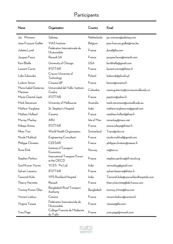### Participants

| Name                               | Organization                                 | Country     | Email                                  |
|------------------------------------|----------------------------------------------|-------------|----------------------------------------|
| Jac Wismans                        | Safeteg                                      | Netherlands | jac.wismans@safeteq.com                |
| Jean-François Gaillet              | <b>VIAS</b> Institute                        | Belgium     | jean-francois.gaillet@vias.be          |
| Juliette Lunel                     | Fédération Internationale de<br>l'Automobile | France      | jlunel@fia.com                         |
| Jacques Faure                      | Renault SA                                   | France      | jacques.faure@renault.com              |
| Kavi Bhalla                        | University of Chicago                        | <b>USA</b>  | kavibhalla@gmail.com                   |
| Laurent Carnis                     | <b>IFSTTAR</b>                               | France      | laurent.carnis@ifsttar.fr              |
| Lidia Zakowska                     | Cracow University of<br>Technology           | Poland      | Izakowsk@pk.edu.pl                     |
| Ludovic Simon                      | Cerema IdF                                   | France      | Isimon@cerema.fr                       |
| Maria Isabel Gutierrez<br>Martinez | Universidad del Valle- Instituto<br>Cisalva  | Colombia    | maria.gutierrez@correounivalle.edu.co  |
| Marie-Chantal Jayet                | <b>IFSTTAR</b>                               | France      | jayetmc@yahoo.fr                       |
| Mark Stevenson                     | University of Melbourne                      | Australia   | mark.stevenson@unimelb.edu.au          |
| Mathew Varghese                    | St. Stephen's Hospital                       | India       | mathewvarghese.ms@gmail.com            |
| Mathieu Holland                    | Cerema                                       | France      | matthieu.holland@free.fr               |
| Murray Mackay                      | ARU                                          | Isle of Man | mmackay@manx.net                       |
| Ndiaye Amina                       | <b>IFSTTAR</b>                               | France      | amina.ndiaye@ifsttar.fr                |
| Nhan Tran                          | World Health Organization                    | Switzerland | Trann@who.int                          |
| Nicole Muhlrad                     | Engineering Consultant                       | France      | nicole.muhlrad@gmail.com               |
| Philippe Chretien                  | <b>CEESAR</b>                                | France      | philippe.chretien@ceesar.fr            |
| Rune Elvik                         | Institute of Transport<br>Economics          | Norway      | re@toi.no                              |
| Stephen Perkins                    | International Transport Forum<br>at the OECD | France      | stephen.perkins@itf-oecd.org           |
| Sunil Kumar Verma                  | YCES Pvt Ltd                                 | India       | vermaskyg@gmail.com                    |
| Sylvain Lassarre                   | <b>IFSTTAR</b>                               | France      | sylvain.lassarre@ifsttar.fr            |
| Tamorish Kole                      | <b>VPS Rockland Hospital</b>                 | India       | Tamorish.kole@vpsrocklandhospitals.com |
| Thierry Hermitte                   | Renault                                      | France      | thierry.hermitte@lab-france.com        |
| Tonmoy Kumer Dhar                  | Bangladesh Road Transport<br>Authority       | Bangladesh  | tonmoy_07me@live.com                   |
| Vincent Ledoux                     | Cerema                                       | France      | vincent.ledoux@cerema.fr               |
| Virginia Tanase                    | Fédération Internationale de<br>l'Automobile | France      | vtanase@fia.com                        |
| Yves Page                          | College Francais de Medecine<br>du Trafic    | France      | yves.page@renault.com                  |